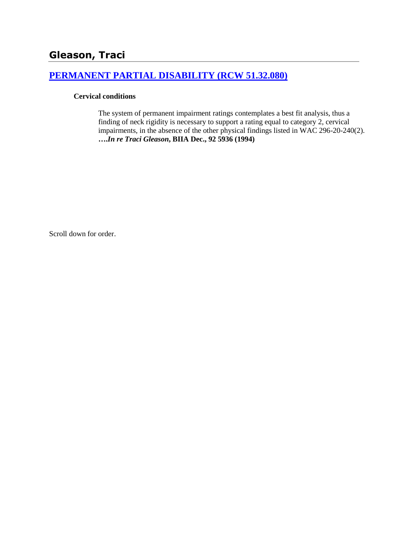## **[PERMANENT PARTIAL DISABILITY \(RCW 51.32.080\)](http://www.biia.wa.gov/SDSubjectIndex.html#PERMANENT_PARTIAL_DISABILITY)**

#### **Cervical conditions**

The system of permanent impairment ratings contemplates a best fit analysis, thus a finding of neck rigidity is necessary to support a rating equal to category 2, cervical impairments, in the absence of the other physical findings listed in WAC 296-20-240(2). **….***In re Traci Gleason***, BIIA Dec., 92 5936 (1994)**

Scroll down for order.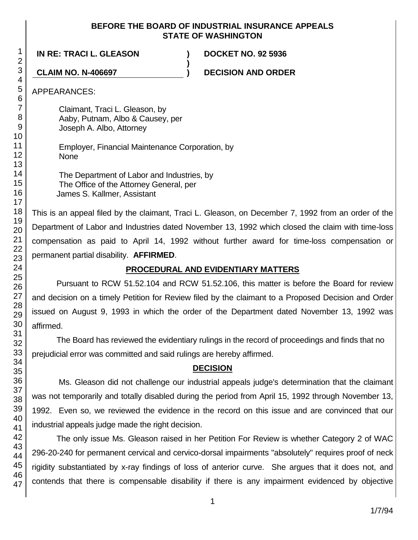#### **BEFORE THE BOARD OF INDUSTRIAL INSURANCE APPEALS STATE OF WASHINGTON**

**)**

**IN RE: TRACI L. GLEASON ) DOCKET NO. 92 5936**

**CLAIM NO. N-406697 ) DECISION AND ORDER**

APPEARANCES:

Claimant, Traci L. Gleason, by Aaby, Putnam, Albo & Causey, per Joseph A. Albo, Attorney

Employer, Financial Maintenance Corporation, by None

The Department of Labor and Industries, by The Office of the Attorney General, per James S. Kallmer, Assistant

This is an appeal filed by the claimant, Traci L. Gleason, on December 7, 1992 from an order of the Department of Labor and Industries dated November 13, 1992 which closed the claim with time-loss compensation as paid to April 14, 1992 without further award for time-loss compensation or permanent partial disability. **AFFIRMED**.

# **PROCEDURAL AND EVIDENTIARY MATTERS**

Pursuant to RCW 51.52.104 and RCW 51.52.106, this matter is before the Board for review and decision on a timely Petition for Review filed by the claimant to a Proposed Decision and Order issued on August 9, 1993 in which the order of the Department dated November 13, 1992 was affirmed.

The Board has reviewed the evidentiary rulings in the record of proceedings and finds that no prejudicial error was committed and said rulings are hereby affirmed.

## **DECISION**

Ms. Gleason did not challenge our industrial appeals judge's determination that the claimant was not temporarily and totally disabled during the period from April 15, 1992 through November 13, 1992. Even so, we reviewed the evidence in the record on this issue and are convinced that our industrial appeals judge made the right decision.

The only issue Ms. Gleason raised in her Petition For Review is whether Category 2 of WAC 296-20-240 for permanent cervical and cervico-dorsal impairments "absolutely" requires proof of neck rigidity substantiated by x-ray findings of loss of anterior curve. She argues that it does not, and contends that there is compensable disability if there is any impairment evidenced by objective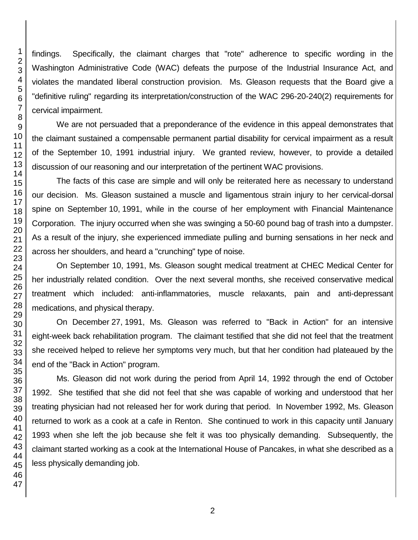findings. Specifically, the claimant charges that "rote" adherence to specific wording in the Washington Administrative Code (WAC) defeats the purpose of the Industrial Insurance Act, and violates the mandated liberal construction provision. Ms. Gleason requests that the Board give a "definitive ruling" regarding its interpretation/construction of the WAC 296-20-240(2) requirements for cervical impairment.

We are not persuaded that a preponderance of the evidence in this appeal demonstrates that the claimant sustained a compensable permanent partial disability for cervical impairment as a result of the September 10, 1991 industrial injury. We granted review, however, to provide a detailed discussion of our reasoning and our interpretation of the pertinent WAC provisions.

The facts of this case are simple and will only be reiterated here as necessary to understand our decision. Ms. Gleason sustained a muscle and ligamentous strain injury to her cervical-dorsal spine on September 10, 1991, while in the course of her employment with Financial Maintenance Corporation. The injury occurred when she was swinging a 50-60 pound bag of trash into a dumpster. As a result of the injury, she experienced immediate pulling and burning sensations in her neck and across her shoulders, and heard a "crunching" type of noise.

On September 10, 1991, Ms. Gleason sought medical treatment at CHEC Medical Center for her industrially related condition. Over the next several months, she received conservative medical treatment which included: anti-inflammatories, muscle relaxants, pain and anti-depressant medications, and physical therapy.

On December 27, 1991, Ms. Gleason was referred to "Back in Action" for an intensive eight-week back rehabilitation program. The claimant testified that she did not feel that the treatment she received helped to relieve her symptoms very much, but that her condition had plateaued by the end of the "Back in Action" program.

Ms. Gleason did not work during the period from April 14, 1992 through the end of October 1992. She testified that she did not feel that she was capable of working and understood that her treating physician had not released her for work during that period. In November 1992, Ms. Gleason returned to work as a cook at a cafe in Renton. She continued to work in this capacity until January 1993 when she left the job because she felt it was too physically demanding. Subsequently, the claimant started working as a cook at the International House of Pancakes, in what she described as a less physically demanding job.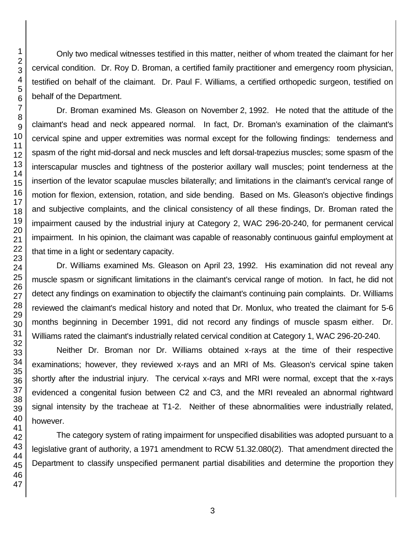Only two medical witnesses testified in this matter, neither of whom treated the claimant for her cervical condition. Dr. Roy D. Broman, a certified family practitioner and emergency room physician, testified on behalf of the claimant. Dr. Paul F. Williams, a certified orthopedic surgeon, testified on behalf of the Department.

Dr. Broman examined Ms. Gleason on November 2, 1992. He noted that the attitude of the claimant's head and neck appeared normal. In fact, Dr. Broman's examination of the claimant's cervical spine and upper extremities was normal except for the following findings: tenderness and spasm of the right mid-dorsal and neck muscles and left dorsal-trapezius muscles; some spasm of the interscapular muscles and tightness of the posterior axillary wall muscles; point tenderness at the insertion of the levator scapulae muscles bilaterally; and limitations in the claimant's cervical range of motion for flexion, extension, rotation, and side bending. Based on Ms. Gleason's objective findings and subjective complaints, and the clinical consistency of all these findings, Dr. Broman rated the impairment caused by the industrial injury at Category 2, WAC 296-20-240, for permanent cervical impairment. In his opinion, the claimant was capable of reasonably continuous gainful employment at that time in a light or sedentary capacity.

Dr. Williams examined Ms. Gleason on April 23, 1992. His examination did not reveal any muscle spasm or significant limitations in the claimant's cervical range of motion. In fact, he did not detect any findings on examination to objectify the claimant's continuing pain complaints. Dr. Williams reviewed the claimant's medical history and noted that Dr. Monlux, who treated the claimant for 5-6 months beginning in December 1991, did not record any findings of muscle spasm either. Dr. Williams rated the claimant's industrially related cervical condition at Category 1, WAC 296-20-240.

Neither Dr. Broman nor Dr. Williams obtained x-rays at the time of their respective examinations; however, they reviewed x-rays and an MRI of Ms. Gleason's cervical spine taken shortly after the industrial injury. The cervical x-rays and MRI were normal, except that the x-rays evidenced a congenital fusion between C2 and C3, and the MRI revealed an abnormal rightward signal intensity by the tracheae at T1-2. Neither of these abnormalities were industrially related, however.

The category system of rating impairment for unspecified disabilities was adopted pursuant to a legislative grant of authority, a 1971 amendment to RCW 51.32.080(2). That amendment directed the Department to classify unspecified permanent partial disabilities and determine the proportion they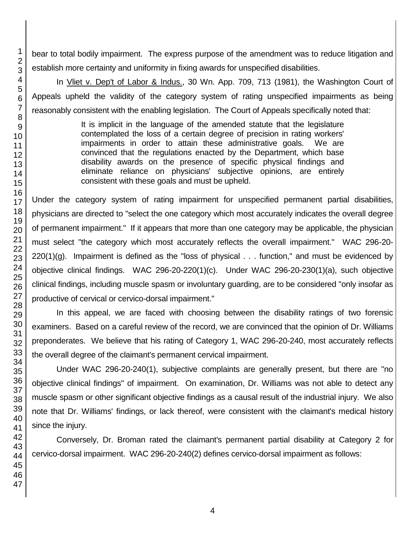bear to total bodily impairment. The express purpose of the amendment was to reduce litigation and establish more certainty and uniformity in fixing awards for unspecified disabilities.

In Vliet v. Dep't of Labor & Indus., 30 Wn. App. 709, 713 (1981), the Washington Court of Appeals upheld the validity of the category system of rating unspecified impairments as being reasonably consistent with the enabling legislation. The Court of Appeals specifically noted that:

> It is implicit in the language of the amended statute that the legislature contemplated the loss of a certain degree of precision in rating workers' impairments in order to attain these administrative goals. We are convinced that the regulations enacted by the Department, which base disability awards on the presence of specific physical findings and eliminate reliance on physicians' subjective opinions, are entirely consistent with these goals and must be upheld.

Under the category system of rating impairment for unspecified permanent partial disabilities, physicians are directed to "select the one category which most accurately indicates the overall degree of permanent impairment." If it appears that more than one category may be applicable, the physician must select "the category which most accurately reflects the overall impairment." WAC 296-20-  $220(1)(g)$ . Impairment is defined as the "loss of physical  $\ldots$  function," and must be evidenced by objective clinical findings. WAC 296-20-220(1)(c). Under WAC 296-20-230(1)(a), such objective clinical findings, including muscle spasm or involuntary guarding, are to be considered "only insofar as productive of cervical or cervico-dorsal impairment."

In this appeal, we are faced with choosing between the disability ratings of two forensic examiners. Based on a careful review of the record, we are convinced that the opinion of Dr. Williams preponderates. We believe that his rating of Category 1, WAC 296-20-240, most accurately reflects the overall degree of the claimant's permanent cervical impairment.

Under WAC 296-20-240(1), subjective complaints are generally present, but there are "no objective clinical findings" of impairment. On examination, Dr. Williams was not able to detect any muscle spasm or other significant objective findings as a causal result of the industrial injury. We also note that Dr. Williams' findings, or lack thereof, were consistent with the claimant's medical history since the injury.

Conversely, Dr. Broman rated the claimant's permanent partial disability at Category 2 for cervico-dorsal impairment. WAC 296-20-240(2) defines cervico-dorsal impairment as follows: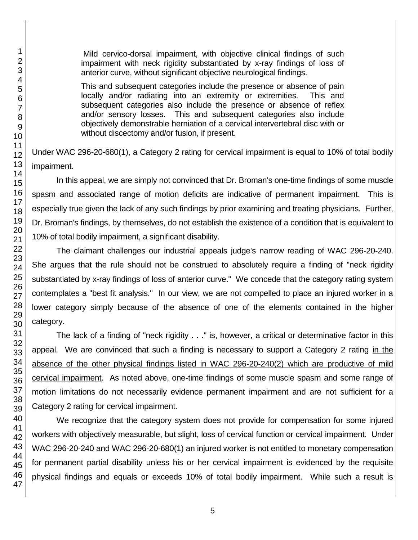Mild cervico-dorsal impairment, with objective clinical findings of such impairment with neck rigidity substantiated by x-ray findings of loss of anterior curve, without significant objective neurological findings.

This and subsequent categories include the presence or absence of pain locally and/or radiating into an extremity or extremities. This and subsequent categories also include the presence or absence of reflex and/or sensory losses. This and subsequent categories also include objectively demonstrable herniation of a cervical intervertebral disc with or without discectomy and/or fusion, if present.

Under WAC 296-20-680(1), a Category 2 rating for cervical impairment is equal to 10% of total bodily impairment.

In this appeal, we are simply not convinced that Dr. Broman's one-time findings of some muscle spasm and associated range of motion deficits are indicative of permanent impairment. This is especially true given the lack of any such findings by prior examining and treating physicians. Further, Dr. Broman's findings, by themselves, do not establish the existence of a condition that is equivalent to 10% of total bodily impairment, a significant disability.

The claimant challenges our industrial appeals judge's narrow reading of WAC 296-20-240. She argues that the rule should not be construed to absolutely require a finding of "neck rigidity substantiated by x-ray findings of loss of anterior curve." We concede that the category rating system contemplates a "best fit analysis." In our view, we are not compelled to place an injured worker in a lower category simply because of the absence of one of the elements contained in the higher category.

The lack of a finding of "neck rigidity . . ." is, however, a critical or determinative factor in this appeal. We are convinced that such a finding is necessary to support a Category 2 rating in the absence of the other physical findings listed in WAC 296-20-240(2) which are productive of mild cervical impairment. As noted above, one-time findings of some muscle spasm and some range of motion limitations do not necessarily evidence permanent impairment and are not sufficient for a Category 2 rating for cervical impairment.

We recognize that the category system does not provide for compensation for some injured workers with objectively measurable, but slight, loss of cervical function or cervical impairment. Under WAC 296-20-240 and WAC 296-20-680(1) an injured worker is not entitled to monetary compensation for permanent partial disability unless his or her cervical impairment is evidenced by the requisite physical findings and equals or exceeds 10% of total bodily impairment. While such a result is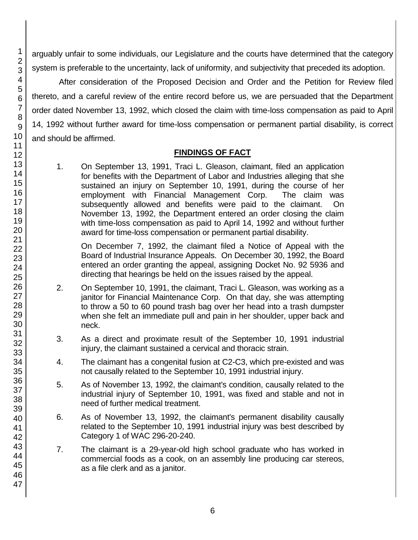arguably unfair to some individuals, our Legislature and the courts have determined that the category system is preferable to the uncertainty, lack of uniformity, and subjectivity that preceded its adoption.

After consideration of the Proposed Decision and Order and the Petition for Review filed thereto, and a careful review of the entire record before us, we are persuaded that the Department order dated November 13, 1992, which closed the claim with time-loss compensation as paid to April 14, 1992 without further award for time-loss compensation or permanent partial disability, is correct and should be affirmed.

## **FINDINGS OF FACT**

1. On September 13, 1991, Traci L. Gleason, claimant, filed an application for benefits with the Department of Labor and Industries alleging that she sustained an injury on September 10, 1991, during the course of her employment with Financial Management Corp. The claim was subsequently allowed and benefits were paid to the claimant. On November 13, 1992, the Department entered an order closing the claim with time-loss compensation as paid to April 14, 1992 and without further award for time-loss compensation or permanent partial disability.

On December 7, 1992, the claimant filed a Notice of Appeal with the Board of Industrial Insurance Appeals. On December 30, 1992, the Board entered an order granting the appeal, assigning Docket No. 92 5936 and directing that hearings be held on the issues raised by the appeal.

- 2. On September 10, 1991, the claimant, Traci L. Gleason, was working as a janitor for Financial Maintenance Corp. On that day, she was attempting to throw a 50 to 60 pound trash bag over her head into a trash dumpster when she felt an immediate pull and pain in her shoulder, upper back and neck.
- 3. As a direct and proximate result of the September 10, 1991 industrial injury, the claimant sustained a cervical and thoracic strain.
- 4. The claimant has a congenital fusion at C2-C3, which pre-existed and was not causally related to the September 10, 1991 industrial injury.
- 5. As of November 13, 1992, the claimant's condition, causally related to the industrial injury of September 10, 1991, was fixed and stable and not in need of further medical treatment.
- 6. As of November 13, 1992, the claimant's permanent disability causally related to the September 10, 1991 industrial injury was best described by Category 1 of WAC 296-20-240.
- 7. The claimant is a 29-year-old high school graduate who has worked in commercial foods as a cook, on an assembly line producing car stereos, as a file clerk and as a janitor.